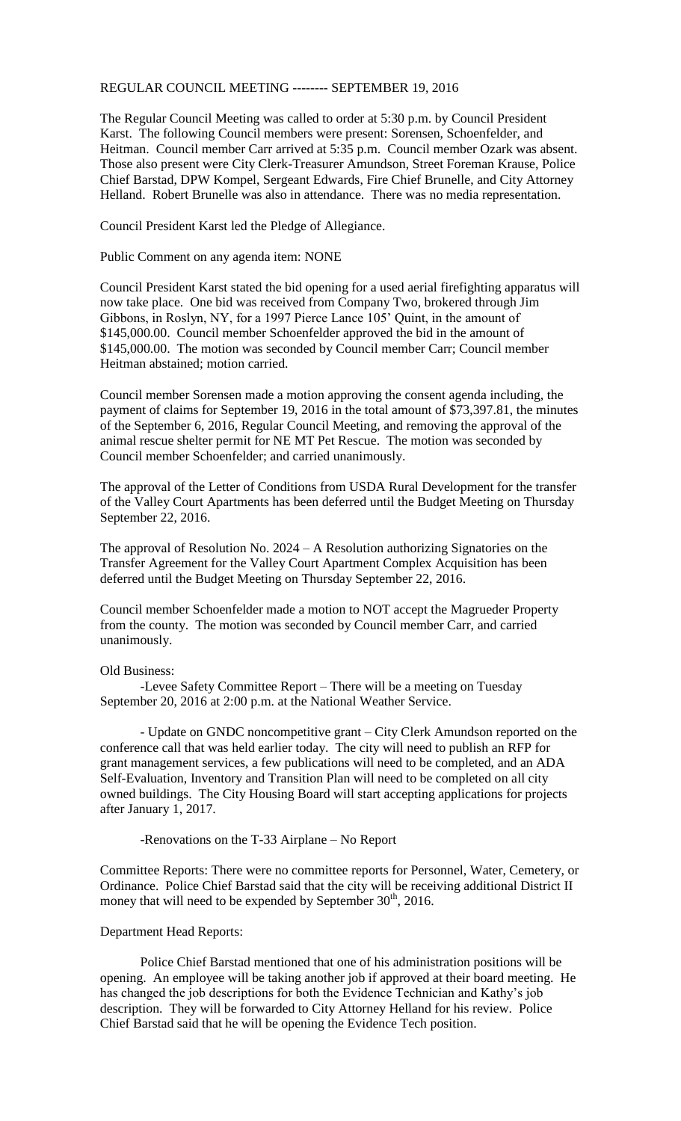## REGULAR COUNCIL MEETING -------- SEPTEMBER 19, 2016

The Regular Council Meeting was called to order at 5:30 p.m. by Council President Karst. The following Council members were present: Sorensen, Schoenfelder, and Heitman. Council member Carr arrived at 5:35 p.m. Council member Ozark was absent. Those also present were City Clerk-Treasurer Amundson, Street Foreman Krause, Police Chief Barstad, DPW Kompel, Sergeant Edwards, Fire Chief Brunelle, and City Attorney Helland. Robert Brunelle was also in attendance. There was no media representation.

Council President Karst led the Pledge of Allegiance.

Public Comment on any agenda item: NONE

Council President Karst stated the bid opening for a used aerial firefighting apparatus will now take place. One bid was received from Company Two, brokered through Jim Gibbons, in Roslyn, NY, for a 1997 Pierce Lance 105' Quint, in the amount of \$145,000.00. Council member Schoenfelder approved the bid in the amount of \$145,000.00. The motion was seconded by Council member Carr; Council member Heitman abstained; motion carried.

Council member Sorensen made a motion approving the consent agenda including, the payment of claims for September 19, 2016 in the total amount of \$73,397.81, the minutes of the September 6, 2016, Regular Council Meeting, and removing the approval of the animal rescue shelter permit for NE MT Pet Rescue. The motion was seconded by Council member Schoenfelder; and carried unanimously.

The approval of the Letter of Conditions from USDA Rural Development for the transfer of the Valley Court Apartments has been deferred until the Budget Meeting on Thursday September 22, 2016.

The approval of Resolution No. 2024 – A Resolution authorizing Signatories on the Transfer Agreement for the Valley Court Apartment Complex Acquisition has been deferred until the Budget Meeting on Thursday September 22, 2016.

Council member Schoenfelder made a motion to NOT accept the Magrueder Property from the county. The motion was seconded by Council member Carr, and carried unanimously.

Old Business:

-Levee Safety Committee Report – There will be a meeting on Tuesday September 20, 2016 at 2:00 p.m. at the National Weather Service.

- Update on GNDC noncompetitive grant – City Clerk Amundson reported on the conference call that was held earlier today. The city will need to publish an RFP for grant management services, a few publications will need to be completed, and an ADA Self-Evaluation, Inventory and Transition Plan will need to be completed on all city owned buildings. The City Housing Board will start accepting applications for projects after January 1, 2017.

-Renovations on the T-33 Airplane – No Report

Committee Reports: There were no committee reports for Personnel, Water, Cemetery, or Ordinance. Police Chief Barstad said that the city will be receiving additional District II money that will need to be expended by September  $30<sup>th</sup>$ , 2016.

## Department Head Reports:

Police Chief Barstad mentioned that one of his administration positions will be opening. An employee will be taking another job if approved at their board meeting. He has changed the job descriptions for both the Evidence Technician and Kathy's job description. They will be forwarded to City Attorney Helland for his review. Police Chief Barstad said that he will be opening the Evidence Tech position.